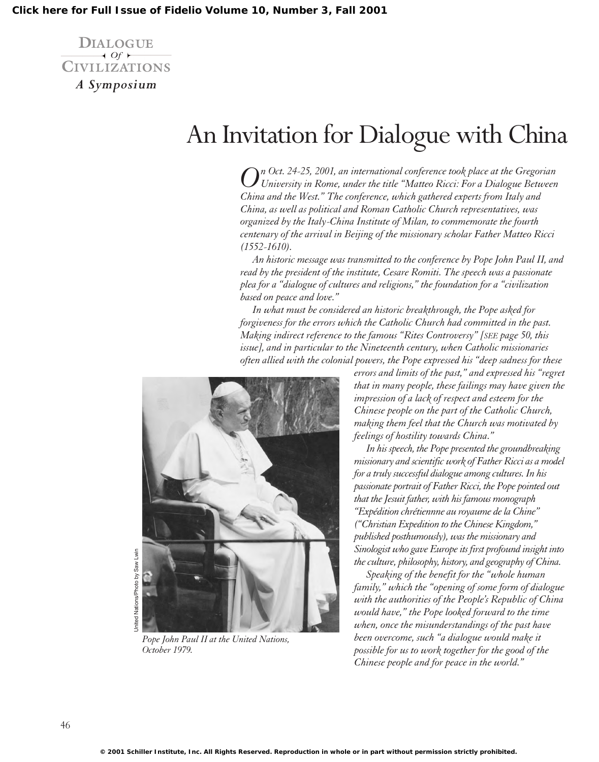**DIALOGUE**  $\rightarrow$  *Of*  $\rightarrow$ **CIVILIZATIONS** *A Symposium*

## An Invitation for Dialogue with China

*On Oct. 24-25, 2001, an international conference took place at the Gregorian University in Rome, under the title "Matteo Ricci: For a Dialogue Between China and the West." The conference, which gathered experts from Italy and China, as well as political and Roman Catholic Church representatives, was organized by the Italy-China Institute of Milan, to commemorate the fourth centenary of the arrival in Beijing of the missionary scholar Father Matteo Ricci (1552-1610).*

*An historic message was transmitted to the conference by Pope John Paul II, and read by the president of the institute, Cesare Romiti. The speech was a passionate plea for a "dialogue of cultures and religions," the foundation for a "civilization based on peace and love."*

*In what must be considered an historic breakthrough, the Pope asked for forgiveness for the errors which the Catholic Church had committed in the past. Making indirect reference to the famous "Rites Controversy" [SEE page 50, this issue], and in particular to the Nineteenth century, when Catholic missionaries often allied with the colonial powers, the Pope expressed his "deep sadness for these*



*Pope John Paul II at the United Nations, October 1979.*

*errors and limits of the past," and expressed his "regret that in many people, these failings may have given the impression of a lack of respect and esteem for the Chinese people on the part of the Catholic Church, making them feel that the Church was motivated by feelings of hostility towards China."*

*In his speech, the Pope presented the groundbreaking missionary and scientific work of Father Ricci as a model for a truly successful dialogue among cultures. In his passionate portrait of Father Ricci, the Pope pointed out that the Jesuit father, with his famous monograph "Expédition chrétiennne au royaume de la Chine" ("Christian Expedition to the Chinese Kingdom," published posthumously), was the missionary and Sinologist who gave Europe its first profound insight into the culture, philosophy, history, and geography of China.*

*Speaking of the benefit for the "whole human family," which the "opening of some form of dialogue with the authorities of the People's Republic of China would have," the Pope looked forward to the time when, once the misunderstandings of the past have been overcome, such "a dialogue would make it possible for us to work together for the good of the Chinese people and for peace in the world."*

Jnited Nations/Photo by Saw Lwin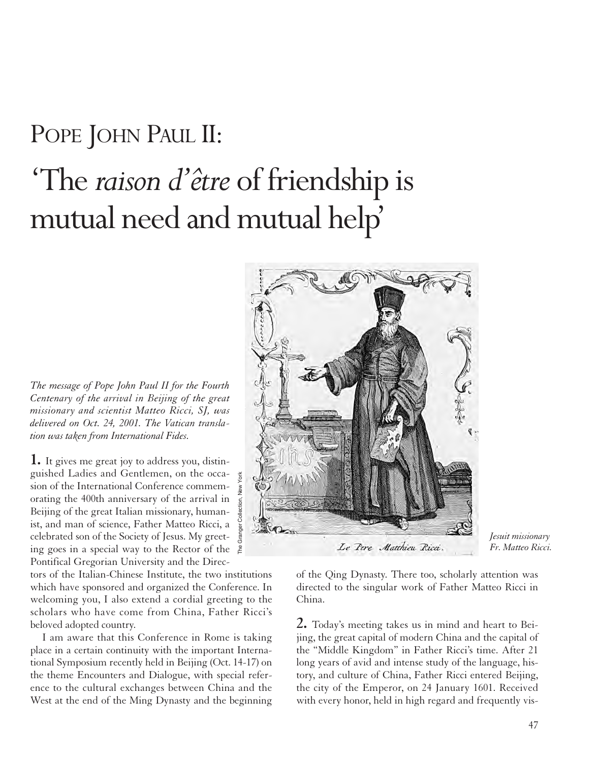## POPE JOHN PAUL II:

## 'The *raison d'être* of friendship is mutual need and mutual help'

*The message of Pope John Paul II for the Fourth Centenary of the arrival in Beijing of the great missionary and scientist Matteo Ricci, SJ, was delivered on Oct. 24, 2001. The Vatican translation was taken from International Fides.* 

**1.** It gives me great joy to address you, distinguished Ladies and Gentlemen, on the occasion of the International Conference commemorating the 400th anniversary of the arrival in Beijing of the great Italian missionary, humanist, and man of science, Father Matteo Ricci, a celebrated son of the Society of Jesus. My greeting goes in a special way to the Rector of the  $\frac{2}{5}$ Pontifical Gregorian University and the Direc-

tors of the Italian-Chinese Institute, the two institutions which have sponsored and organized the Conference. In welcoming you, I also extend a cordial greeting to the scholars who have come from China, Father Ricci's beloved adopted country.

I am aware that this Conference in Rome is taking place in a certain continuity with the important International Symposium recently held in Beijing (Oct. 14-17) on the theme Encounters and Dialogue, with special reference to the cultural exchanges between China and the West at the end of the Ming Dynasty and the beginning



*Jesuit missionary*

of the Qing Dynasty. There too, scholarly attention was directed to the singular work of Father Matteo Ricci in China.

**2.** Today's meeting takes us in mind and heart to Beijing, the great capital of modern China and the capital of the "Middle Kingdom" in Father Ricci's time. After 21 long years of avid and intense study of the language, history, and culture of China, Father Ricci entered Beijing, the city of the Emperor, on 24 January 1601. Received with every honor, held in high regard and frequently vis-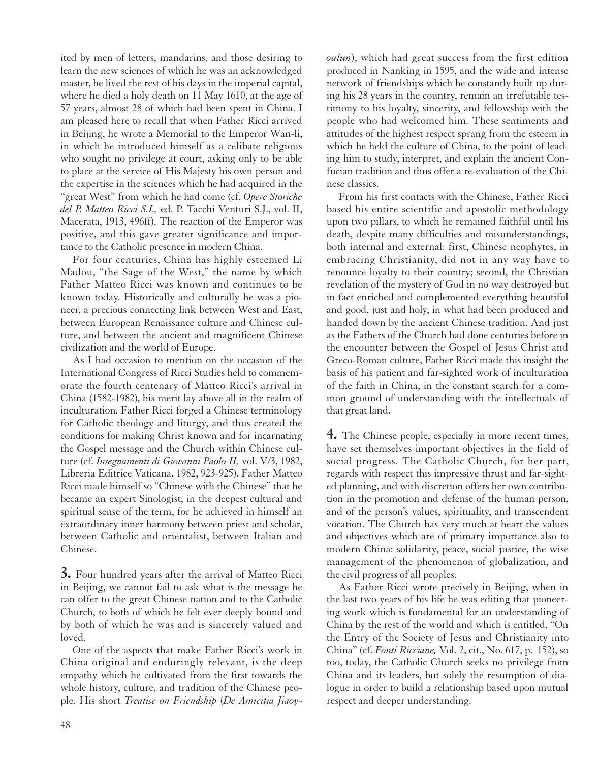ited by men of letters, mandarins, and those desiring to learn the new sciences of which he was an acknowledged master, he lived the rest of his days in the imperial capital, where he died a holy death on 11 May 1610, at the age of 57 years, almost 28 of which had been spent in China. I am pleased here to recall that when Father Ricci arrived in Beijing, he wrote a Memorial to the Emperor Wan-li, in which he introduced himself as a celibate religious who sought no privilege at court, asking only to be able to place at the service of His Majesty his own person and the expertise in the sciences which he had acquired in the "great West" from which he had come (cf. *Opere Storiche del P. Matteo Ricci S.I.,* ed. P. Tacchi Venturi S.J., vol. II, Macerata, 1913, 496ff). The reaction of the Emperor was positive, and this gave greater significance and importance to the Catholic presence in modern China.

For four centuries, China has highly esteemed Li Madou, "the Sage of the West," the name by which Father Matteo Ricci was known and continues to be known today. Historically and culturally he was a pioneer, a precious connecting link between West and East, between European Renaissance culture and Chinese culture, and between the ancient and magnificent Chinese civilization and the world of Europe.

As I had occasion to mention on the occasion of the International Congress of Ricci Studies held to commemorate the fourth centenary of Matteo Ricci's arrival in China (1582-1982), his merit lay above all in the realm of inculturation. Father Ricci forged a Chinese terminology for Catholic theology and liturgy, and thus created the conditions for making Christ known and for incarnating the Gospel message and the Church within Chinese culture (cf. *Insegnamenti di Giovanni Paolo II,* vol. V/3, 1982, Libreria Editrice Vaticana, 1982, 923-925). Father Matteo Ricci made himself so "Chinese with the Chinese" that he became an expert Sinologist, in the deepest cultural and spiritual sense of the term, for he achieved in himself an extraordinary inner harmony between priest and scholar, between Catholic and orientalist, between Italian and Chinese.

**3.** Four hundred years after the arrival of Matteo Ricci in Beijing, we cannot fail to ask what is the message he can offer to the great Chinese nation and to the Catholic Church, to both of which he felt ever deeply bound and by both of which he was and is sincerely valued and loved.

One of the aspects that make Father Ricci's work in China original and enduringly relevant, is the deep empathy which he cultivated from the first towards the whole history, culture, and tradition of the Chinese people. His short *Treatise on Friendship* (*De Amicitia Jiaoy-* *oulun*), which had great success from the first edition produced in Nanking in 1595, and the wide and intense network of friendships which he constantly built up during his 28 years in the country, remain an irrefutable testimony to his loyalty, sincerity, and fellowship with the people who had welcomed him. These sentiments and attitudes of the highest respect sprang from the esteem in which he held the culture of China, to the point of leading him to study, interpret, and explain the ancient Confucian tradition and thus offer a re-evaluation of the Chinese classics.

From his first contacts with the Chinese, Father Ricci based his entire scientific and apostolic methodology upon two pillars, to which he remained faithful until his death, despite many difficulties and misunderstandings, both internal and external: first, Chinese neophytes, in embracing Christianity, did not in any way have to renounce loyalty to their country; second, the Christian revelation of the mystery of God in no way destroyed but in fact enriched and complemented everything beautiful and good, just and holy, in what had been produced and handed down by the ancient Chinese tradition. And just as the Fathers of the Church had done centuries before in the encounter between the Gospel of Jesus Christ and Greco-Roman culture, Father Ricci made this insight the basis of his patient and far-sighted work of inculturation of the faith in China, in the constant search for a common ground of understanding with the intellectuals of that great land.

**4.** The Chinese people, especially in more recent times, have set themselves important objectives in the field of social progress. The Catholic Church, for her part, regards with respect this impressive thrust and far-sighted planning, and with discretion offers her own contribution in the promotion and defense of the human person, and of the person's values, spirituality, and transcendent vocation. The Church has very much at heart the values and objectives which are of primary importance also to modern China: solidarity, peace, social justice, the wise management of the phenomenon of globalization, and the civil progress of all peoples.

As Father Ricci wrote precisely in Beijing, when in the last two years of his life he was editing that pioneering work which is fundamental for an understanding of China by the rest of the world and which is entitled, "On the Entry of the Society of Jesus and Christianity into China" (cf. *Fonti Ricciane,* Vol. 2, cit., No. 617, p. 152), so too, today, the Catholic Church seeks no privilege from China and its leaders, but solely the resumption of dialogue in order to build a relationship based upon mutual respect and deeper understanding.